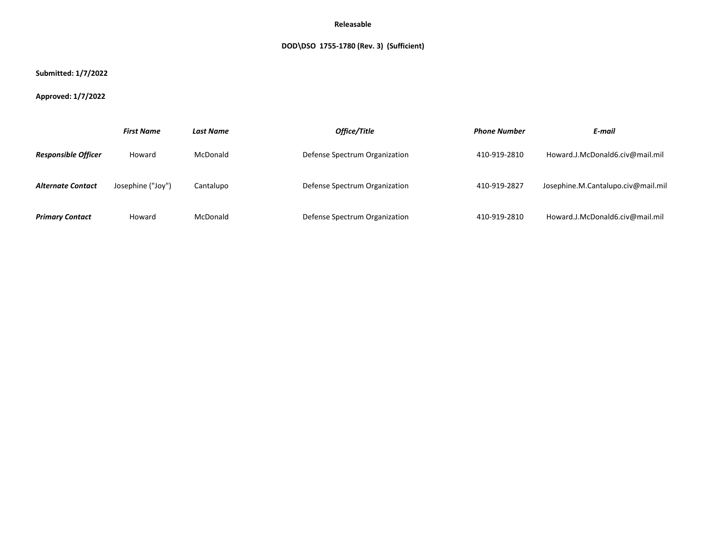# **DOD\DSO 1755-1780 (Rev. 3) (Sufficient)**

## **Submitted: 1/7/2022**

# **Approved: 1/7/2022**

|                            | <b>First Name</b> | <b>Last Name</b> | Office/Title                  | <b>Phone Number</b> | E-mail                             |
|----------------------------|-------------------|------------------|-------------------------------|---------------------|------------------------------------|
| <b>Responsible Officer</b> | Howard            | McDonald         | Defense Spectrum Organization | 410-919-2810        | Howard.J.McDonald6.civ@mail.mil    |
| <b>Alternate Contact</b>   | Josephine ("Joy") | Cantalupo        | Defense Spectrum Organization | 410-919-2827        | Josephine.M.Cantalupo.civ@mail.mil |
| <b>Primary Contact</b>     | Howard            | McDonald         | Defense Spectrum Organization | 410-919-2810        | Howard.J.McDonald6.civ@mail.mil    |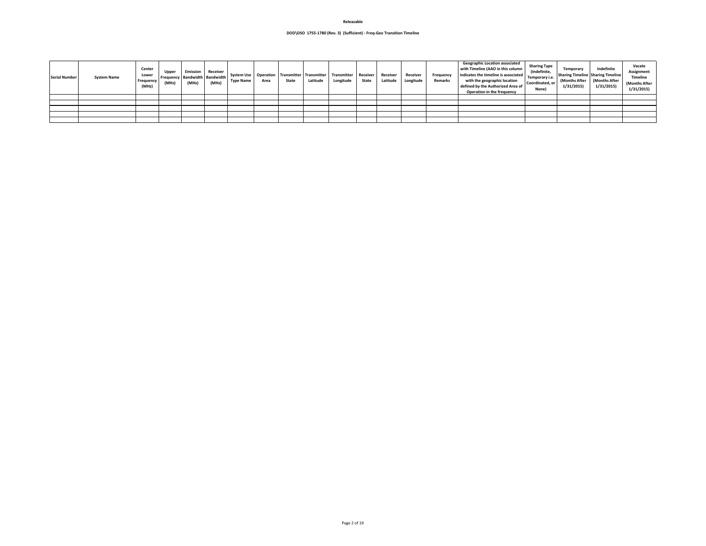| Serial Number | <b>System Name</b> | <b>Center</b><br>Lower<br>Frequency<br>(MHz) | Uppe<br>(MHz) | Emission<br>(MHz) | Receiver<br><b>I Frequency   Bandwidth   Bandwidth  </b><br>(MHz) | <b>System Use</b><br><b>Type Name</b> | Area | State | Operation   Transmitter   Transmitter<br>Latitude | Transmitter   Receiver<br>Longitude | <b>State</b> | <b>Receiver</b><br>Latitude | Receiver<br>Longitude | <b>Frequency</b><br>Remarks | <b>Geographic Location associated</b><br>with Timeline (AAO in this column<br>indicates the timeline is associated<br>with the geographic location<br>defined by the Authorized Area of<br><b>Operation in the frequency</b> | <b>Sharing Type</b><br>(Indefinite,<br>Temporary i.e.<br>Coordinated, or<br>None) | Indefinite<br><b>Temporary</b><br><b>Sharing Timeline Sharing Timeline</b><br>(Months After   (Months After<br>1/31/2015<br>1/31/2015 | Vacate<br>Assignment<br><b>Timeline</b><br>(Months After<br>1/31/2015 |
|---------------|--------------------|----------------------------------------------|---------------|-------------------|-------------------------------------------------------------------|---------------------------------------|------|-------|---------------------------------------------------|-------------------------------------|--------------|-----------------------------|-----------------------|-----------------------------|------------------------------------------------------------------------------------------------------------------------------------------------------------------------------------------------------------------------------|-----------------------------------------------------------------------------------|---------------------------------------------------------------------------------------------------------------------------------------|-----------------------------------------------------------------------|
|               |                    |                                              |               |                   |                                                                   |                                       |      |       |                                                   |                                     |              |                             |                       |                             |                                                                                                                                                                                                                              |                                                                                   |                                                                                                                                       |                                                                       |
|               |                    |                                              |               |                   |                                                                   |                                       |      |       |                                                   |                                     |              |                             |                       |                             |                                                                                                                                                                                                                              |                                                                                   |                                                                                                                                       |                                                                       |
|               |                    |                                              |               |                   |                                                                   |                                       |      |       |                                                   |                                     |              |                             |                       |                             |                                                                                                                                                                                                                              |                                                                                   |                                                                                                                                       |                                                                       |
|               |                    |                                              |               |                   |                                                                   |                                       |      |       |                                                   |                                     |              |                             |                       |                             |                                                                                                                                                                                                                              |                                                                                   |                                                                                                                                       |                                                                       |
|               |                    |                                              |               |                   |                                                                   |                                       |      |       |                                                   |                                     |              |                             |                       |                             |                                                                                                                                                                                                                              |                                                                                   |                                                                                                                                       |                                                                       |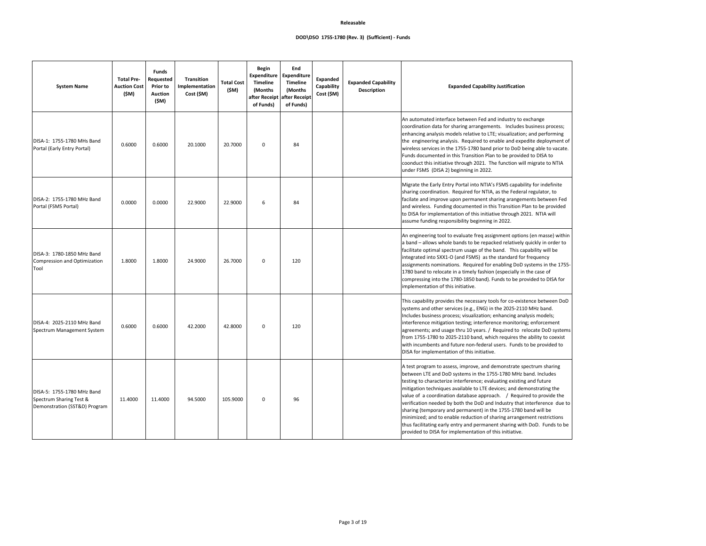#### **Description Expanded Capability Justification**

between Fed and industry to exchange aring arrangements. Includes business process; els relative to LTE; visualization; and performing Required to enable and expedite deployment of 1755-1780 band prior to DoD being able to vacate. iis Transition Plan to be provided to DISA to hrough 2021. The function will migrate to NTIA ginning in 2022.

Portal into NTIA's FSMS capability for indefinite equired for NTIA, as the Federal regulator, to on permanent sharing arangements between Fed ocumented in this Transition Plan to be provided tion of this initiative through 2021. NTIA will ibility beginning in 2022.

valuate freq assignment options (en masse) within ands to be repacked relatively quickly in order to im usage of the band. This capability will be and FSMS) as the standard for frequency is. Required for enabling DoD systems in the 1755a timely fashion (especially in the case of 80-1850 band). Funds to be provided to DISA for hitiative.

he necessary tools for co-existence between DoD  $s$ es (e.g., ENG) in the 2025-2110 MHz band. Includes bandization; enhancing analysis models; testing; interference monitoring; enforcement thru 10 years. / Required to relocate DoD systems i-2110 band, which requires the ability to coexist ure non-federal users. Funds to be provided to of this initiative.

, improve, and demonstrate spectrum sharing stems in the 1755-1780 MHz band. Includes terference; evaluating existing and future railable to LTE devices; and demonstrating the database approach.  $\sqrt{ }$  Required to provide the oth the DoD and Industry that interference due to permanent) in the 1755-1780 band will be e reduction of sharing arrangement restrictions try and permanent sharing with DoD. Funds to be lementation of this initiative.

| <b>System Name</b>                                                                     | <b>Total Pre-</b><br><b>Auction Cost</b><br>(\$M) | <b>Funds</b><br>Requested<br><b>Prior to</b><br><b>Auction</b><br>(\$M) | <b>Transition</b><br>Implementation<br>Cost (\$M) | <b>Total Cost</b><br>(\$M) | <b>Begin</b><br><b>Timeline</b><br>(Months)<br>of Funds) | End<br>Expenditure   Expenditure<br><b>Timeline</b><br>(Months)<br>after Receipt after Receipt<br>of Funds) | <b>Expanded</b><br>Capability<br>Cost (\$M) | <b>Expanded Capability</b><br><b>Description</b> | <b>Expa</b>                                                                                                                                                                                                                                                                                   |
|----------------------------------------------------------------------------------------|---------------------------------------------------|-------------------------------------------------------------------------|---------------------------------------------------|----------------------------|----------------------------------------------------------|-------------------------------------------------------------------------------------------------------------|---------------------------------------------|--------------------------------------------------|-----------------------------------------------------------------------------------------------------------------------------------------------------------------------------------------------------------------------------------------------------------------------------------------------|
| DISA-1: 1755-1780 MHs Band<br>Portal (Early Entry Portal)                              | 0.6000                                            | 0.6000                                                                  | 20.1000                                           | 20.7000                    | 0                                                        | 84                                                                                                          |                                             |                                                  | An automated interface I<br>coordination data for sha<br>enhancing analysis mode<br>the engineering analysis.<br>wireless services in the 1<br>Funds documented in thi<br>coonduct this initiative th<br>under FSMS (DISA 2) beg                                                              |
| DISA-2: 1755-1780 MHz Band<br>Portal (FSMS Portal)                                     | 0.0000                                            | 0.0000                                                                  | 22.9000                                           | 22.9000                    | 6                                                        | 84                                                                                                          |                                             |                                                  | Migrate the Early Entry P<br>sharing coordination. Re<br>facilate and improve upo<br>and wireless. Funding do<br>to DISA for implementati<br>assume funding responsi                                                                                                                          |
| DISA-3: 1780-1850 MHz Band<br>Compression and Optimization<br>Tool                     | 1.8000                                            | 1.8000                                                                  | 24.9000                                           | 26.7000                    | 0                                                        | 120                                                                                                         |                                             |                                                  | An engineering tool to ev<br>a band - allows whole ba<br>facilitate optimal spectru<br>integrated into SXX1-O (a<br>assignments nominations<br>1780 band to relocate in<br>compressing into the 178<br>implementation of this in                                                              |
| DISA-4: 2025-2110 MHz Band<br>Spectrum Management System                               | 0.6000                                            | 0.6000                                                                  | 42.2000                                           | 42.8000                    | 0                                                        | 120                                                                                                         |                                             |                                                  | This capability provides tl<br>systems and other servic<br>Includes business process<br>interference mitigation to<br>agreements; and usage tl<br>from 1755-1780 to 2025-<br>with incumbents and fut<br>DISA for implementation                                                               |
| DISA-5: 1755-1780 MHz Band<br>Spectrum Sharing Test &<br>Demonstration (SST&D) Program | 11.4000                                           | 11.4000                                                                 | 94.5000                                           | 105.9000                   | 0                                                        | 96                                                                                                          |                                             |                                                  | A test program to assess,<br>between LTE and DoD sy:<br>testing to characterize in<br>mitigation techniques ava<br>value of a coordination o<br>verification needed by bo<br>sharing (temporary and p<br>minimized; and to enable<br>thus facilitating early ent<br>provided to DISA for impl |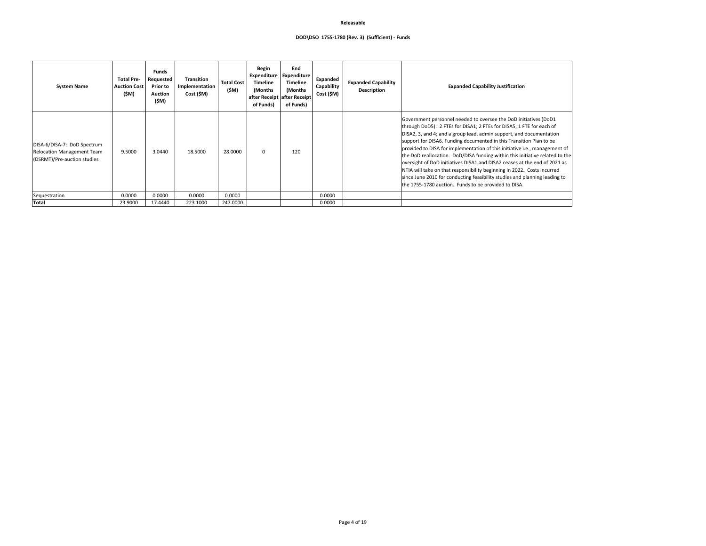## **DOD\DSO 1755-1780 (Rev. 3) (Sufficient) - Funds**

## **Description Expanded Capability Justification**

needed to oversee the DoD initiatives (DoD1 or DISA1; 2 FTEs for DISA5; 1 FTE for each of oup lead, admin support, and documentation ng documented in this Transition Plan to be llementation of this initiative i.e., management of oD/DISA funding within this initiative related to the  $\nu$ es DISA1 and DISA2 ceases at the end of 2021 as sponsibility beginning in 2022. Costs incurred ucting feasibility studies and planning leading to Funds to be provided to DISA.

| <b>System Name</b>                                                                              | <b>Total Pre-</b><br><b>Auction Cost</b><br>(\$M) | <b>Funds</b><br>Requested<br><b>Prior to</b><br><b>Auction</b><br>(\$M) | <b>Transition</b><br>Implementation<br>Cost (\$M) | <b>Total Cost</b><br>(\$M) | <b>Begin</b><br>Expenditure<br><b>Timeline</b><br>(Months)<br>of Funds) | End<br>Expenditure<br><b>Timeline</b><br>(Months)<br>after Receipt after Receipt<br>of Funds) | Expanded<br>Capability<br>Cost (\$M) | <b>Expanded Capability</b><br><b>Description</b> | Expa                                                                                                                                                                                                                                                                                        |
|-------------------------------------------------------------------------------------------------|---------------------------------------------------|-------------------------------------------------------------------------|---------------------------------------------------|----------------------------|-------------------------------------------------------------------------|-----------------------------------------------------------------------------------------------|--------------------------------------|--------------------------------------------------|---------------------------------------------------------------------------------------------------------------------------------------------------------------------------------------------------------------------------------------------------------------------------------------------|
| DISA-6/DISA-7: DoD Spectrum<br><b>Relocation Management Team</b><br>(DSRMT)/Pre-auction studies | 9.5000                                            | 3.0440                                                                  | 18.5000                                           | 28.0000                    | $\mathbf 0$                                                             | 120                                                                                           |                                      |                                                  | Government personnel n<br>through DoD5): 2 FTEs fo<br>DISA2, 3, and 4; and a gro<br>support for DISA6. Fundir<br>provided to DISA for impl<br>the DoD reallocation. Do<br>oversight of DoD initiative<br>NTIA will take on that res<br>since June 2010 for cond<br>the 1755-1780 auction. F |
| Sequestration                                                                                   | 0.0000                                            | 0.0000                                                                  | 0.0000                                            | 0.0000                     |                                                                         |                                                                                               | 0.0000                               |                                                  |                                                                                                                                                                                                                                                                                             |
| Total                                                                                           | 23.9000                                           | 17.4440                                                                 | 223.1000                                          | 247.0000                   |                                                                         |                                                                                               | 0.0000                               |                                                  |                                                                                                                                                                                                                                                                                             |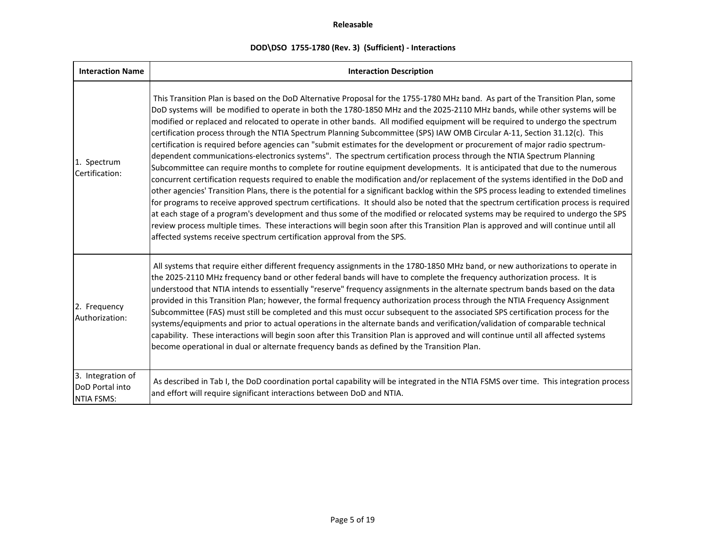# **DOD\DSO 1755-1780 (Rev. 3) (Sufficient) - Interactions**

| <b>Interaction Name</b>                                   | <b>Interaction Description</b>                                                                                                                                                                                                                                                                                                                                                                                                                                                                                                                                                                                                                                                                                                                                                                                                                                                                                                                                                                                                                                                                                                                                                                                                                                                                                                                                                                                                                                                                                                                                                                                                                                                               |
|-----------------------------------------------------------|----------------------------------------------------------------------------------------------------------------------------------------------------------------------------------------------------------------------------------------------------------------------------------------------------------------------------------------------------------------------------------------------------------------------------------------------------------------------------------------------------------------------------------------------------------------------------------------------------------------------------------------------------------------------------------------------------------------------------------------------------------------------------------------------------------------------------------------------------------------------------------------------------------------------------------------------------------------------------------------------------------------------------------------------------------------------------------------------------------------------------------------------------------------------------------------------------------------------------------------------------------------------------------------------------------------------------------------------------------------------------------------------------------------------------------------------------------------------------------------------------------------------------------------------------------------------------------------------------------------------------------------------------------------------------------------------|
| 1. Spectrum<br>Certification:                             | This Transition Plan is based on the DoD Alternative Proposal for the 1755-1780 MHz band. As part of the Transition Plan, some<br>DoD systems will be modified to operate in both the 1780-1850 MHz and the 2025-2110 MHz bands, while other systems will be<br>modified or replaced and relocated to operate in other bands. All modified equipment will be required to undergo the spectrum<br>certification process through the NTIA Spectrum Planning Subcommittee (SPS) IAW OMB Circular A-11, Section 31.12(c). This<br>certification is required before agencies can "submit estimates for the development or procurement of major radio spectrum-<br>dependent communications-electronics systems". The spectrum certification process through the NTIA Spectrum Planning<br>Subcommittee can require months to complete for routine equipment developments. It is anticipated that due to the numerous<br>concurrent certification requests required to enable the modification and/or replacement of the systems identified in the DoD and<br>other agencies' Transition Plans, there is the potential for a significant backlog within the SPS process leading to extended timelines<br>for programs to receive approved spectrum certifications. It should also be noted that the spectrum certification process is required<br>at each stage of a program's development and thus some of the modified or relocated systems may be required to undergo the SPS<br>review process multiple times. These interactions will begin soon after this Transition Plan is approved and will continue until all<br>affected systems receive spectrum certification approval from the SPS. |
| 2. Frequency<br>Authorization:                            | All systems that require either different frequency assignments in the 1780-1850 MHz band, or new authorizations to operate in<br>the 2025-2110 MHz frequency band or other federal bands will have to complete the frequency authorization process. It is<br>understood that NTIA intends to essentially "reserve" frequency assignments in the alternate spectrum bands based on the data<br>provided in this Transition Plan; however, the formal frequency authorization process through the NTIA Frequency Assignment<br>Subcommittee (FAS) must still be completed and this must occur subsequent to the associated SPS certification process for the<br>systems/equipments and prior to actual operations in the alternate bands and verification/validation of comparable technical<br>capability. These interactions will begin soon after this Transition Plan is approved and will continue until all affected systems<br>become operational in dual or alternate frequency bands as defined by the Transition Plan.                                                                                                                                                                                                                                                                                                                                                                                                                                                                                                                                                                                                                                                              |
| 3. Integration of<br>DoD Portal into<br><b>NTIA FSMS:</b> | As described in Tab I, the DoD coordination portal capability will be integrated in the NTIA FSMS over time. This integration process<br>and effort will require significant interactions between DoD and NTIA.                                                                                                                                                                                                                                                                                                                                                                                                                                                                                                                                                                                                                                                                                                                                                                                                                                                                                                                                                                                                                                                                                                                                                                                                                                                                                                                                                                                                                                                                              |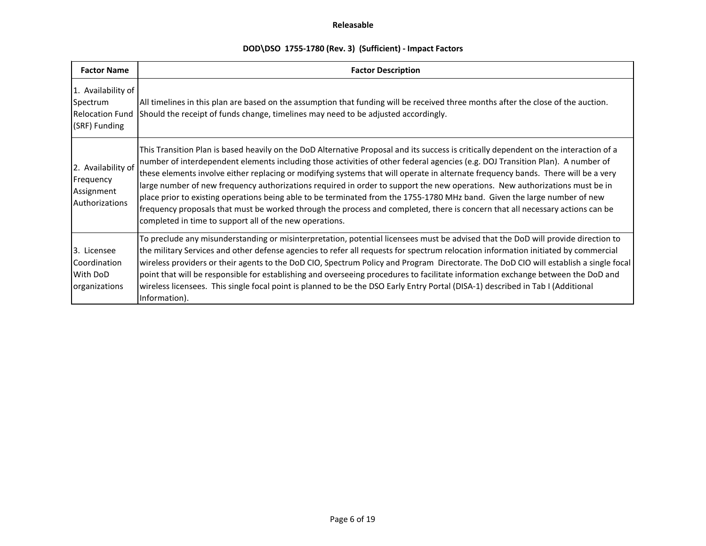# **DOD\DSO 1755-1780 (Rev. 3) (Sufficient) - Impact Factors**

| <b>Factor Name</b>                                                        | <b>Factor Description</b>                                                                                                                                                                                                                                                                                                                                                                                                                                                                                                                                                                                                                                                                                                                                                                                                                                            |
|---------------------------------------------------------------------------|----------------------------------------------------------------------------------------------------------------------------------------------------------------------------------------------------------------------------------------------------------------------------------------------------------------------------------------------------------------------------------------------------------------------------------------------------------------------------------------------------------------------------------------------------------------------------------------------------------------------------------------------------------------------------------------------------------------------------------------------------------------------------------------------------------------------------------------------------------------------|
| 1. Availability of<br>Spectrum<br><b>Relocation Fund</b><br>(SRF) Funding | All timelines in this plan are based on the assumption that funding will be received three months after the close of the auction.<br>Should the receipt of funds change, timelines may need to be adjusted accordingly.                                                                                                                                                                                                                                                                                                                                                                                                                                                                                                                                                                                                                                              |
| 2. Availability of<br>Frequency<br>Assignment<br>Authorizations           | This Transition Plan is based heavily on the DoD Alternative Proposal and its success is critically dependent on the interaction of a<br>number of interdependent elements including those activities of other federal agencies (e.g. DOJ Transition Plan). A number of<br>these elements involve either replacing or modifying systems that will operate in alternate frequency bands. There will be a very<br>large number of new frequency authorizations required in order to support the new operations. New authorizations must be in<br>place prior to existing operations being able to be terminated from the 1755-1780 MHz band. Given the large number of new<br>frequency proposals that must be worked through the process and completed, there is concern that all necessary actions can be<br>completed in time to support all of the new operations. |
| 3. Licensee<br>Coordination<br>With DoD<br>organizations                  | To preclude any misunderstanding or misinterpretation, potential licensees must be advised that the DoD will provide direction to<br>the military Services and other defense agencies to refer all requests for spectrum relocation information initiated by commercial<br>wireless providers or their agents to the DoD CIO, Spectrum Policy and Program Directorate. The DoD CIO will establish a single focal<br>point that will be responsible for establishing and overseeing procedures to facilitate information exchange between the DoD and<br>wireless licensees. This single focal point is planned to be the DSO Early Entry Portal (DISA-1) described in Tab I (Additional<br>Information).                                                                                                                                                             |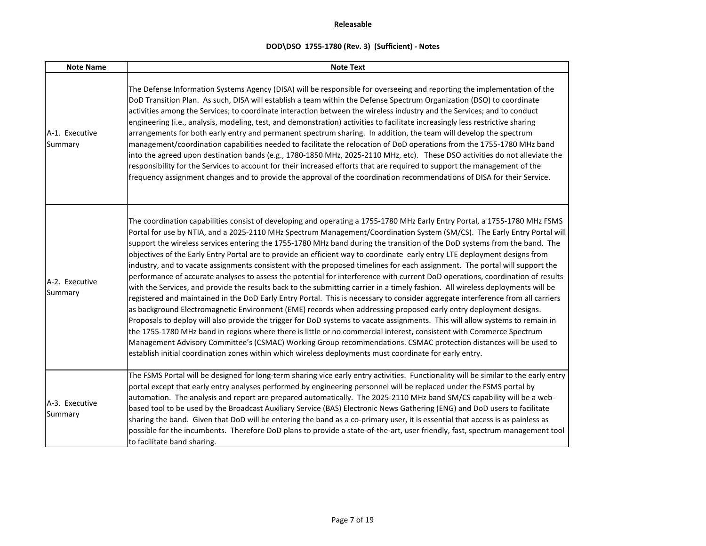| <b>Note Name</b>          | <b>Note Text</b>                                                                                                                                                                                                                                                                                                                                                                                                                                                                                                                                                                                                                                                                                                                                                                                                                                                                                                                                                                                                                                                                                                                                                                                                                                                                                                                                                                                                                                                                                                                                                                                                                                                      |
|---------------------------|-----------------------------------------------------------------------------------------------------------------------------------------------------------------------------------------------------------------------------------------------------------------------------------------------------------------------------------------------------------------------------------------------------------------------------------------------------------------------------------------------------------------------------------------------------------------------------------------------------------------------------------------------------------------------------------------------------------------------------------------------------------------------------------------------------------------------------------------------------------------------------------------------------------------------------------------------------------------------------------------------------------------------------------------------------------------------------------------------------------------------------------------------------------------------------------------------------------------------------------------------------------------------------------------------------------------------------------------------------------------------------------------------------------------------------------------------------------------------------------------------------------------------------------------------------------------------------------------------------------------------------------------------------------------------|
| A-1. Executive<br>Summary | The Defense Information Systems Agency (DISA) will be responsible for overseeing and reporting the implementation of the<br>DoD Transition Plan. As such, DISA will establish a team within the Defense Spectrum Organization (DSO) to coordinate<br>activities among the Services; to coordinate interaction between the wireless industry and the Services; and to conduct<br>engineering (i.e., analysis, modeling, test, and demonstration) activities to facilitate increasingly less restrictive sharing<br>arrangements for both early entry and permanent spectrum sharing. In addition, the team will develop the spectrum<br>management/coordination capabilities needed to facilitate the relocation of DoD operations from the 1755-1780 MHz band<br>into the agreed upon destination bands (e.g., 1780-1850 MHz, 2025-2110 MHz, etc). These DSO activities do not alleviate the<br>responsibility for the Services to account for their increased efforts that are required to support the management of the<br>frequency assignment changes and to provide the approval of the coordination recommendations of DISA for their Service.                                                                                                                                                                                                                                                                                                                                                                                                                                                                                                                  |
| A-2. Executive<br>Summary | The coordination capabilities consist of developing and operating a 1755-1780 MHz Early Entry Portal, a 1755-1780 MHz FSMS<br>Portal for use by NTIA, and a 2025-2110 MHz Spectrum Management/Coordination System (SM/CS). The Early Entry Portal will<br>support the wireless services entering the 1755-1780 MHz band during the transition of the DoD systems from the band. The<br>objectives of the Early Entry Portal are to provide an efficient way to coordinate early entry LTE deployment designs from<br>industry, and to vacate assignments consistent with the proposed timelines for each assignment. The portal will support the<br>performance of accurate analyses to assess the potential for interference with current DoD operations, coordination of results<br>with the Services, and provide the results back to the submitting carrier in a timely fashion. All wireless deployments will be<br>registered and maintained in the DoD Early Entry Portal. This is necessary to consider aggregate interference from all carriers<br>as background Electromagnetic Environment (EME) records when addressing proposed early entry deployment designs.<br>Proposals to deploy will also provide the trigger for DoD systems to vacate assignments. This will allow systems to remain in<br>the 1755-1780 MHz band in regions where there is little or no commercial interest, consistent with Commerce Spectrum<br>Management Advisory Committee's (CSMAC) Working Group recommendations. CSMAC protection distances will be used to<br>establish initial coordination zones within which wireless deployments must coordinate for early entry. |
| A-3. Executive<br>Summary | The FSMS Portal will be designed for long-term sharing vice early entry activities. Functionality will be similar to the early entry<br>portal except that early entry analyses performed by engineering personnel will be replaced under the FSMS portal by<br>automation. The analysis and report are prepared automatically. The 2025-2110 MHz band SM/CS capability will be a web-<br>based tool to be used by the Broadcast Auxiliary Service (BAS) Electronic News Gathering (ENG) and DoD users to facilitate<br>sharing the band. Given that DoD will be entering the band as a co-primary user, it is essential that access is as painless as<br>possible for the incumbents. Therefore DoD plans to provide a state-of-the-art, user friendly, fast, spectrum management tool<br>to facilitate band sharing.                                                                                                                                                                                                                                                                                                                                                                                                                                                                                                                                                                                                                                                                                                                                                                                                                                                |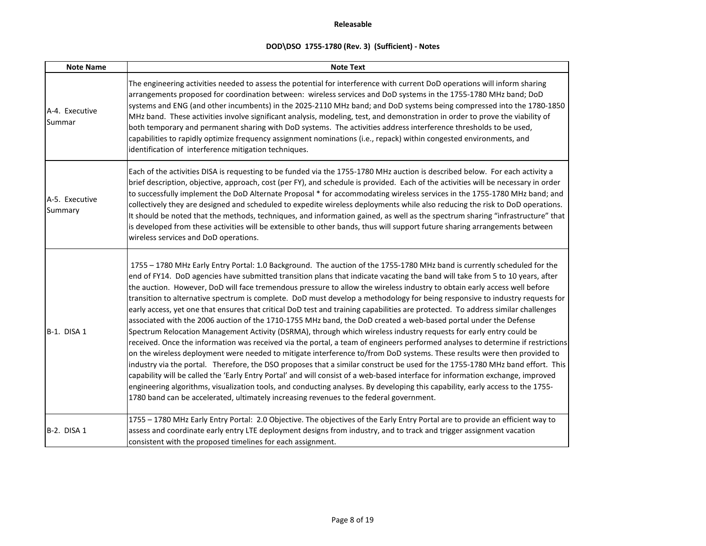| <b>Note Name</b>          | <b>Note Text</b>                                                                                                                                                                                                                                                                                                                                                                                                                                                                                                                                                                                                                                                                                                                                                                                                                                                                                                                                                                                                                                                                                                                                                                                                                                                                                                                                                                                                                                                                                                                                                                                                                                                     |
|---------------------------|----------------------------------------------------------------------------------------------------------------------------------------------------------------------------------------------------------------------------------------------------------------------------------------------------------------------------------------------------------------------------------------------------------------------------------------------------------------------------------------------------------------------------------------------------------------------------------------------------------------------------------------------------------------------------------------------------------------------------------------------------------------------------------------------------------------------------------------------------------------------------------------------------------------------------------------------------------------------------------------------------------------------------------------------------------------------------------------------------------------------------------------------------------------------------------------------------------------------------------------------------------------------------------------------------------------------------------------------------------------------------------------------------------------------------------------------------------------------------------------------------------------------------------------------------------------------------------------------------------------------------------------------------------------------|
| A-4. Executive<br>Summar  | The engineering activities needed to assess the potential for interference with current DoD operations will inform sharing<br>arrangements proposed for coordination between: wireless services and DoD systems in the 1755-1780 MHz band; DoD<br>systems and ENG (and other incumbents) in the 2025-2110 MHz band; and DoD systems being compressed into the 1780-1850<br>MHz band. These activities involve significant analysis, modeling, test, and demonstration in order to prove the viability of<br>both temporary and permanent sharing with DoD systems. The activities address interference thresholds to be used,<br>capabilities to rapidly optimize frequency assignment nominations (i.e., repack) within congested environments, and<br>identification of interference mitigation techniques.                                                                                                                                                                                                                                                                                                                                                                                                                                                                                                                                                                                                                                                                                                                                                                                                                                                        |
| A-5. Executive<br>Summary | Each of the activities DISA is requesting to be funded via the 1755-1780 MHz auction is described below. For each activity a<br>brief description, objective, approach, cost (per FY), and schedule is provided. Each of the activities will be necessary in order<br>to successfully implement the DoD Alternate Proposal * for accommodating wireless services in the 1755-1780 MHz band; and<br>collectively they are designed and scheduled to expedite wireless deployments while also reducing the risk to DoD operations.<br>It should be noted that the methods, techniques, and information gained, as well as the spectrum sharing "infrastructure" that<br>is developed from these activities will be extensible to other bands, thus will support future sharing arrangements between<br>wireless services and DoD operations.                                                                                                                                                                                                                                                                                                                                                                                                                                                                                                                                                                                                                                                                                                                                                                                                                           |
| B-1. DISA 1               | 1755 - 1780 MHz Early Entry Portal: 1.0 Background. The auction of the 1755-1780 MHz band is currently scheduled for the<br>end of FY14. DoD agencies have submitted transition plans that indicate vacating the band will take from 5 to 10 years, after<br>the auction. However, DoD will face tremendous pressure to allow the wireless industry to obtain early access well before<br>transition to alternative spectrum is complete. DoD must develop a methodology for being responsive to industry requests for<br>early access, yet one that ensures that critical DoD test and training capabilities are protected. To address similar challenges<br>associated with the 2006 auction of the 1710-1755 MHz band, the DoD created a web-based portal under the Defense<br>Spectrum Relocation Management Activity (DSRMA), through which wireless industry requests for early entry could be<br>received. Once the information was received via the portal, a team of engineers performed analyses to determine if restrictions<br>on the wireless deployment were needed to mitigate interference to/from DoD systems. These results were then provided to<br>industry via the portal. Therefore, the DSO proposes that a similar construct be used for the 1755-1780 MHz band effort. This<br>capability will be called the 'Early Entry Portal' and will consist of a web-based interface for information exchange, improved<br>engineering algorithms, visualization tools, and conducting analyses. By developing this capability, early access to the 1755-<br>1780 band can be accelerated, ultimately increasing revenues to the federal government. |
| B-2. DISA 1               | 1755 - 1780 MHz Early Entry Portal: 2.0 Objective. The objectives of the Early Entry Portal are to provide an efficient way to<br>assess and coordinate early entry LTE deployment designs from industry, and to track and trigger assignment vacation<br>consistent with the proposed timelines for each assignment.                                                                                                                                                                                                                                                                                                                                                                                                                                                                                                                                                                                                                                                                                                                                                                                                                                                                                                                                                                                                                                                                                                                                                                                                                                                                                                                                                |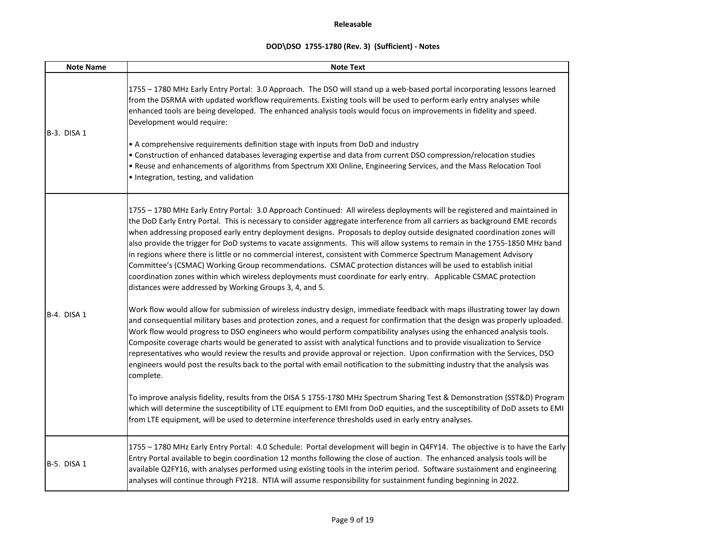| <b>Note Name</b> | <b>Note Text</b>                                                                                                                                                                                                                                                                                                                                                                                                                                                                                                                                                                                                                                                                                                                                                                                                                                                                                                                                                                                                                                                                                                                                                                                                                                                                                                                                                                                                                                                                                                                                                                                                                                                                                                                                                                                                                                                                                                                                                                                                                                                                                              |
|------------------|---------------------------------------------------------------------------------------------------------------------------------------------------------------------------------------------------------------------------------------------------------------------------------------------------------------------------------------------------------------------------------------------------------------------------------------------------------------------------------------------------------------------------------------------------------------------------------------------------------------------------------------------------------------------------------------------------------------------------------------------------------------------------------------------------------------------------------------------------------------------------------------------------------------------------------------------------------------------------------------------------------------------------------------------------------------------------------------------------------------------------------------------------------------------------------------------------------------------------------------------------------------------------------------------------------------------------------------------------------------------------------------------------------------------------------------------------------------------------------------------------------------------------------------------------------------------------------------------------------------------------------------------------------------------------------------------------------------------------------------------------------------------------------------------------------------------------------------------------------------------------------------------------------------------------------------------------------------------------------------------------------------------------------------------------------------------------------------------------------------|
| B-3. DISA 1      | 1755 - 1780 MHz Early Entry Portal: 3.0 Approach. The DSO will stand up a web-based portal incorporating lessons learned<br>from the DSRMA with updated workflow requirements. Existing tools will be used to perform early entry analyses while<br>enhanced tools are being developed. The enhanced analysis tools would focus on improvements in fidelity and speed.<br>Development would require:<br>• A comprehensive requirements definition stage with inputs from DoD and industry<br>• Construction of enhanced databases leveraging expertise and data from current DSO compression/relocation studies<br>. Reuse and enhancements of algorithms from Spectrum XXI Online, Engineering Services, and the Mass Relocation Tool<br>· Integration, testing, and validation                                                                                                                                                                                                                                                                                                                                                                                                                                                                                                                                                                                                                                                                                                                                                                                                                                                                                                                                                                                                                                                                                                                                                                                                                                                                                                                              |
| B-4. DISA 1      | 1755 - 1780 MHz Early Entry Portal: 3.0 Approach Continued: All wireless deployments will be registered and maintained in<br>the DoD Early Entry Portal. This is necessary to consider aggregate interference from all carriers as background EME records<br>when addressing proposed early entry deployment designs. Proposals to deploy outside designated coordination zones will<br>also provide the trigger for DoD systems to vacate assignments. This will allow systems to remain in the 1755-1850 MHz band<br>in regions where there is little or no commercial interest, consistent with Commerce Spectrum Management Advisory<br>Committee's (CSMAC) Working Group recommendations. CSMAC protection distances will be used to establish initial<br>coordination zones within which wireless deployments must coordinate for early entry. Applicable CSMAC protection<br>distances were addressed by Working Groups 3, 4, and 5.<br>Work flow would allow for submission of wireless industry design, immediate feedback with maps illustrating tower lay down<br>and consequential military bases and protection zones, and a request for confirmation that the design was properly uploaded.<br>Work flow would progress to DSO engineers who would perform compatibility analyses using the enhanced analysis tools.<br>Composite coverage charts would be generated to assist with analytical functions and to provide visualization to Service<br>representatives who would review the results and provide approval or rejection. Upon confirmation with the Services, DSO<br>engineers would post the results back to the portal with email notification to the submitting industry that the analysis was<br>complete.<br>To improve analysis fidelity, results from the DISA 5 1755-1780 MHz Spectrum Sharing Test & Demonstration (SST&D) Program<br>which will determine the susceptibility of LTE equipment to EMI from DoD equities, and the susceptibility of DoD assets to EMI<br>from LTE equipment, will be used to determine interference thresholds used in early entry analyses. |
| B-5. DISA 1      | 1755 - 1780 MHz Early Entry Portal: 4.0 Schedule: Portal development will begin in Q4FY14. The objective is to have the Early<br>Entry Portal available to begin coordination 12 months following the close of auction. The enhanced analysis tools will be<br>available Q2FY16, with analyses performed using existing tools in the interim period. Software sustainment and engineering<br>analyses will continue through FY218. NTIA will assume responsibility for sustainment funding beginning in 2022.                                                                                                                                                                                                                                                                                                                                                                                                                                                                                                                                                                                                                                                                                                                                                                                                                                                                                                                                                                                                                                                                                                                                                                                                                                                                                                                                                                                                                                                                                                                                                                                                 |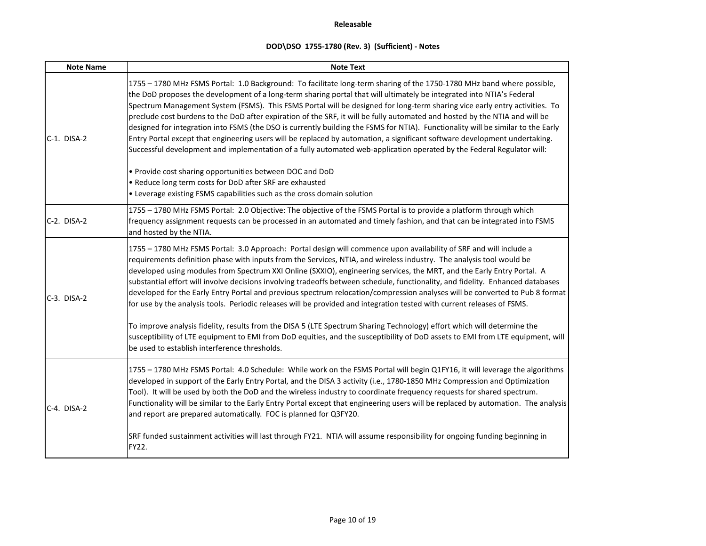| <b>Note Name</b> | <b>Note Text</b>                                                                                                                                                                                                                                                                                                                                                                                                                                                                                                                                                                                                                                                                                                                                                                                                                                                                                         |
|------------------|----------------------------------------------------------------------------------------------------------------------------------------------------------------------------------------------------------------------------------------------------------------------------------------------------------------------------------------------------------------------------------------------------------------------------------------------------------------------------------------------------------------------------------------------------------------------------------------------------------------------------------------------------------------------------------------------------------------------------------------------------------------------------------------------------------------------------------------------------------------------------------------------------------|
| $C-1.$ DISA-2    | 1755 - 1780 MHz FSMS Portal: 1.0 Background: To facilitate long-term sharing of the 1750-1780 MHz band where possible,<br>the DoD proposes the development of a long-term sharing portal that will ultimately be integrated into NTIA's Federal<br>Spectrum Management System (FSMS). This FSMS Portal will be designed for long-term sharing vice early entry activities. To<br>preclude cost burdens to the DoD after expiration of the SRF, it will be fully automated and hosted by the NTIA and will be<br>designed for integration into FSMS (the DSO is currently building the FSMS for NTIA). Functionality will be similar to the Early<br>Entry Portal except that engineering users will be replaced by automation, a significant software development undertaking.<br>Successful development and implementation of a fully automated web-application operated by the Federal Regulator will: |
|                  | . Provide cost sharing opportunities between DOC and DoD<br>• Reduce long term costs for DoD after SRF are exhausted                                                                                                                                                                                                                                                                                                                                                                                                                                                                                                                                                                                                                                                                                                                                                                                     |
|                  | • Leverage existing FSMS capabilities such as the cross domain solution                                                                                                                                                                                                                                                                                                                                                                                                                                                                                                                                                                                                                                                                                                                                                                                                                                  |
|                  | 1755 - 1780 MHz FSMS Portal: 2.0 Objective: The objective of the FSMS Portal is to provide a platform through which                                                                                                                                                                                                                                                                                                                                                                                                                                                                                                                                                                                                                                                                                                                                                                                      |
| $C-2.$ DISA-2    | frequency assignment requests can be processed in an automated and timely fashion, and that can be integrated into FSMS<br>and hosted by the NTIA.                                                                                                                                                                                                                                                                                                                                                                                                                                                                                                                                                                                                                                                                                                                                                       |
| $C-3.$ DISA-2    | 1755 - 1780 MHz FSMS Portal: 3.0 Approach: Portal design will commence upon availability of SRF and will include a<br>requirements definition phase with inputs from the Services, NTIA, and wireless industry. The analysis tool would be<br>developed using modules from Spectrum XXI Online (SXXIO), engineering services, the MRT, and the Early Entry Portal. A<br>substantial effort will involve decisions involving tradeoffs between schedule, functionality, and fidelity. Enhanced databases<br>developed for the Early Entry Portal and previous spectrum relocation/compression analyses will be converted to Pub 8 format<br>for use by the analysis tools. Periodic releases will be provided and integration tested with current releases of FSMS.                                                                                                                                       |
|                  | To improve analysis fidelity, results from the DISA 5 (LTE Spectrum Sharing Technology) effort which will determine the<br>susceptibility of LTE equipment to EMI from DoD equities, and the susceptibility of DoD assets to EMI from LTE equipment, will<br>be used to establish interference thresholds.                                                                                                                                                                                                                                                                                                                                                                                                                                                                                                                                                                                               |
| C-4. DISA-2      | 1755 - 1780 MHz FSMS Portal: 4.0 Schedule: While work on the FSMS Portal will begin Q1FY16, it will leverage the algorithms<br>developed in support of the Early Entry Portal, and the DISA 3 activity (i.e., 1780-1850 MHz Compression and Optimization<br>Tool). It will be used by both the DoD and the wireless industry to coordinate frequency requests for shared spectrum.<br>Functionality will be similar to the Early Entry Portal except that engineering users will be replaced by automation. The analysis<br>and report are prepared automatically. FOC is planned for Q3FY20.                                                                                                                                                                                                                                                                                                            |
|                  | SRF funded sustainment activities will last through FY21. NTIA will assume responsibility for ongoing funding beginning in<br><b>FY22.</b>                                                                                                                                                                                                                                                                                                                                                                                                                                                                                                                                                                                                                                                                                                                                                               |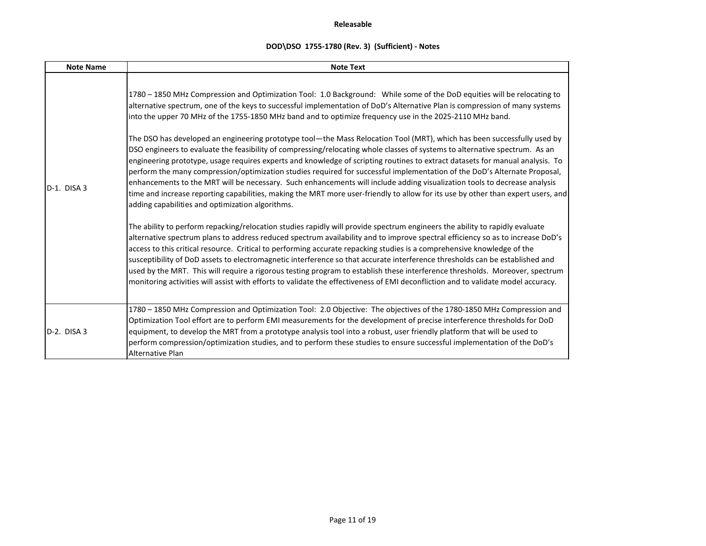| <b>Note Name</b> | <b>Note Text</b>                                                                                                                                                                                                                                                                                                                                                                                                                                                                                                                                                                                                                                                                                                                                                                                                                                                                                                                                                                                                                                                                                                                                                                                                                                                                                                                                                                                                                                                                                                                                                                                                                                                                                                                                                                                                                                                                                                                                                                                                 |
|------------------|------------------------------------------------------------------------------------------------------------------------------------------------------------------------------------------------------------------------------------------------------------------------------------------------------------------------------------------------------------------------------------------------------------------------------------------------------------------------------------------------------------------------------------------------------------------------------------------------------------------------------------------------------------------------------------------------------------------------------------------------------------------------------------------------------------------------------------------------------------------------------------------------------------------------------------------------------------------------------------------------------------------------------------------------------------------------------------------------------------------------------------------------------------------------------------------------------------------------------------------------------------------------------------------------------------------------------------------------------------------------------------------------------------------------------------------------------------------------------------------------------------------------------------------------------------------------------------------------------------------------------------------------------------------------------------------------------------------------------------------------------------------------------------------------------------------------------------------------------------------------------------------------------------------------------------------------------------------------------------------------------------------|
| $D-1.$ DISA 3    | 1780 - 1850 MHz Compression and Optimization Tool: 1.0 Background: While some of the DoD equities will be relocating to<br>alternative spectrum, one of the keys to successful implementation of DoD's Alternative Plan is compression of many systems<br>into the upper 70 MHz of the 1755-1850 MHz band and to optimize frequency use in the 2025-2110 MHz band.<br>The DSO has developed an engineering prototype tool—the Mass Relocation Tool (MRT), which has been successfully used by<br>DSO engineers to evaluate the feasibility of compressing/relocating whole classes of systems to alternative spectrum. As an<br>engineering prototype, usage requires experts and knowledge of scripting routines to extract datasets for manual analysis. To<br>perform the many compression/optimization studies required for successful implementation of the DoD's Alternate Proposal,<br>enhancements to the MRT will be necessary. Such enhancements will include adding visualization tools to decrease analysis<br>time and increase reporting capabilities, making the MRT more user-friendly to allow for its use by other than expert users, and<br>adding capabilities and optimization algorithms.<br>The ability to perform repacking/relocation studies rapidly will provide spectrum engineers the ability to rapidly evaluate<br>alternative spectrum plans to address reduced spectrum availability and to improve spectral efficiency so as to increase DoD's<br>access to this critical resource. Critical to performing accurate repacking studies is a comprehensive knowledge of the<br>susceptibility of DoD assets to electromagnetic interference so that accurate interference thresholds can be established and<br>used by the MRT. This will require a rigorous testing program to establish these interference thresholds. Moreover, spectrum<br>monitoring activities will assist with efforts to validate the effectiveness of EMI deconfliction and to validate model accuracy. |
| D-2. DISA 3      | 1780 - 1850 MHz Compression and Optimization Tool: 2.0 Objective: The objectives of the 1780-1850 MHz Compression and<br>Optimization Tool effort are to perform EMI measurements for the development of precise interference thresholds for DoD<br>equipment, to develop the MRT from a prototype analysis tool into a robust, user friendly platform that will be used to<br>perform compression/optimization studies, and to perform these studies to ensure successful implementation of the DoD's<br><b>Alternative Plan</b>                                                                                                                                                                                                                                                                                                                                                                                                                                                                                                                                                                                                                                                                                                                                                                                                                                                                                                                                                                                                                                                                                                                                                                                                                                                                                                                                                                                                                                                                                |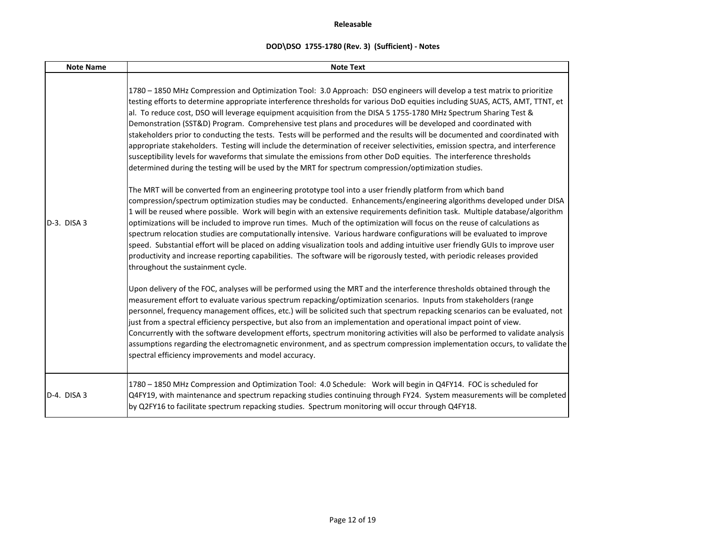| <b>Note Name</b> | <b>Note Text</b>                                                                                                                                                                                                                                                                                                                                                                                                                                                                                                                                                                                                                                                                                                                                                                                                                                                                                                                                                                                |
|------------------|-------------------------------------------------------------------------------------------------------------------------------------------------------------------------------------------------------------------------------------------------------------------------------------------------------------------------------------------------------------------------------------------------------------------------------------------------------------------------------------------------------------------------------------------------------------------------------------------------------------------------------------------------------------------------------------------------------------------------------------------------------------------------------------------------------------------------------------------------------------------------------------------------------------------------------------------------------------------------------------------------|
|                  | 1780 - 1850 MHz Compression and Optimization Tool: 3.0 Approach: DSO engineers will develop a test matrix to prioritize<br>testing efforts to determine appropriate interference thresholds for various DoD equities including SUAS, ACTS, AMT, TTNT, et<br>al. To reduce cost, DSO will leverage equipment acquisition from the DISA 5 1755-1780 MHz Spectrum Sharing Test &<br>Demonstration (SST&D) Program. Comprehensive test plans and procedures will be developed and coordinated with<br>stakeholders prior to conducting the tests. Tests will be performed and the results will be documented and coordinated with<br>appropriate stakeholders. Testing will include the determination of receiver selectivities, emission spectra, and interference<br>susceptibility levels for waveforms that simulate the emissions from other DoD equities. The interference thresholds<br>determined during the testing will be used by the MRT for spectrum compression/optimization studies. |
| $D-3.$ DISA 3    | The MRT will be converted from an engineering prototype tool into a user friendly platform from which band<br>compression/spectrum optimization studies may be conducted. Enhancements/engineering algorithms developed under DISA<br>1 will be reused where possible. Work will begin with an extensive requirements definition task. Multiple database/algorithm<br>optimizations will be included to improve run times. Much of the optimization will focus on the reuse of calculations as<br>spectrum relocation studies are computationally intensive. Various hardware configurations will be evaluated to improve<br>speed. Substantial effort will be placed on adding visualization tools and adding intuitive user friendly GUIs to improve user<br>productivity and increase reporting capabilities. The software will be rigorously tested, with periodic releases provided<br>throughout the sustainment cycle.                                                                   |
|                  | Upon delivery of the FOC, analyses will be performed using the MRT and the interference thresholds obtained through the<br>measurement effort to evaluate various spectrum repacking/optimization scenarios. Inputs from stakeholders (range<br>personnel, frequency management offices, etc.) will be solicited such that spectrum repacking scenarios can be evaluated, not<br>just from a spectral efficiency perspective, but also from an implementation and operational impact point of view.<br>Concurrently with the software development efforts, spectrum monitoring activities will also be performed to validate analysis<br>assumptions regarding the electromagnetic environment, and as spectrum compression implementation occurs, to validate the<br>spectral efficiency improvements and model accuracy.                                                                                                                                                                      |
| D-4. DISA 3      | 1780 - 1850 MHz Compression and Optimization Tool: 4.0 Schedule: Work will begin in Q4FY14. FOC is scheduled for<br>Q4FY19, with maintenance and spectrum repacking studies continuing through FY24. System measurements will be completed<br>by Q2FY16 to facilitate spectrum repacking studies. Spectrum monitoring will occur through Q4FY18.                                                                                                                                                                                                                                                                                                                                                                                                                                                                                                                                                                                                                                                |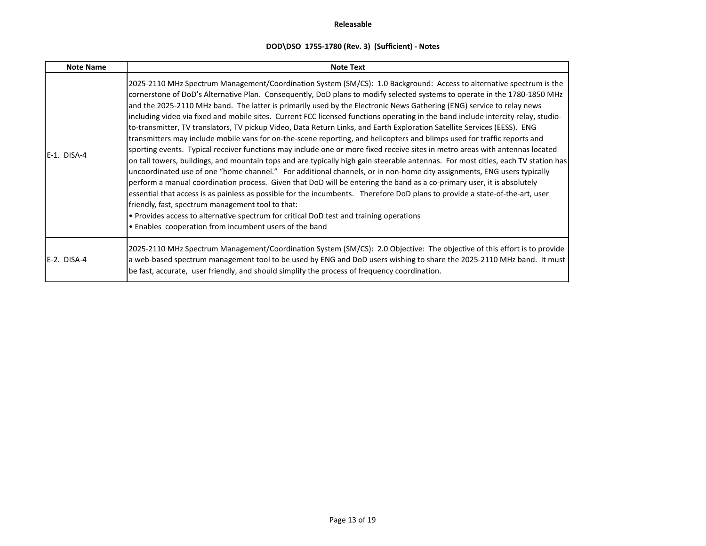| <b>Note Name</b> | <b>Note Text</b>                                                                                                                                                                                                                                                                                                                                                                                                                                                                                                                                                                                                                                                                                                                                                                                                                                                                                                                                                                                                                                                                                                                                                                                                                                                                                                                                                                                                                                                                                                                                                                                                                           |  |  |  |  |
|------------------|--------------------------------------------------------------------------------------------------------------------------------------------------------------------------------------------------------------------------------------------------------------------------------------------------------------------------------------------------------------------------------------------------------------------------------------------------------------------------------------------------------------------------------------------------------------------------------------------------------------------------------------------------------------------------------------------------------------------------------------------------------------------------------------------------------------------------------------------------------------------------------------------------------------------------------------------------------------------------------------------------------------------------------------------------------------------------------------------------------------------------------------------------------------------------------------------------------------------------------------------------------------------------------------------------------------------------------------------------------------------------------------------------------------------------------------------------------------------------------------------------------------------------------------------------------------------------------------------------------------------------------------------|--|--|--|--|
| E-1. DISA-4      | 2025-2110 MHz Spectrum Management/Coordination System (SM/CS): 1.0 Background: Access to alternative spectrum is the<br>cornerstone of DoD's Alternative Plan. Consequently, DoD plans to modify selected systems to operate in the 1780-1850 MHz<br>and the 2025-2110 MHz band. The latter is primarily used by the Electronic News Gathering (ENG) service to relay news<br>including video via fixed and mobile sites. Current FCC licensed functions operating in the band include intercity relay, studio-<br>to-transmitter, TV translators, TV pickup Video, Data Return Links, and Earth Exploration Satellite Services (EESS). ENG<br>transmitters may include mobile vans for on-the-scene reporting, and helicopters and blimps used for traffic reports and<br>sporting events. Typical receiver functions may include one or more fixed receive sites in metro areas with antennas located<br>on tall towers, buildings, and mountain tops and are typically high gain steerable antennas. For most cities, each TV station has<br>uncoordinated use of one "home channel." For additional channels, or in non-home city assignments, ENG users typically<br>perform a manual coordination process. Given that DoD will be entering the band as a co-primary user, it is absolutely<br>essential that access is as painless as possible for the incumbents. Therefore DoD plans to provide a state-of-the-art, user<br>friendly, fast, spectrum management tool to that:<br>. Provides access to alternative spectrum for critical DoD test and training operations<br>• Enables cooperation from incumbent users of the band |  |  |  |  |
| E-2. DISA-4      | 2025-2110 MHz Spectrum Management/Coordination System (SM/CS): 2.0 Objective: The objective of this effort is to provide<br>a web-based spectrum management tool to be used by ENG and DoD users wishing to share the 2025-2110 MHz band. It must<br>be fast, accurate, user friendly, and should simplify the process of frequency coordination.                                                                                                                                                                                                                                                                                                                                                                                                                                                                                                                                                                                                                                                                                                                                                                                                                                                                                                                                                                                                                                                                                                                                                                                                                                                                                          |  |  |  |  |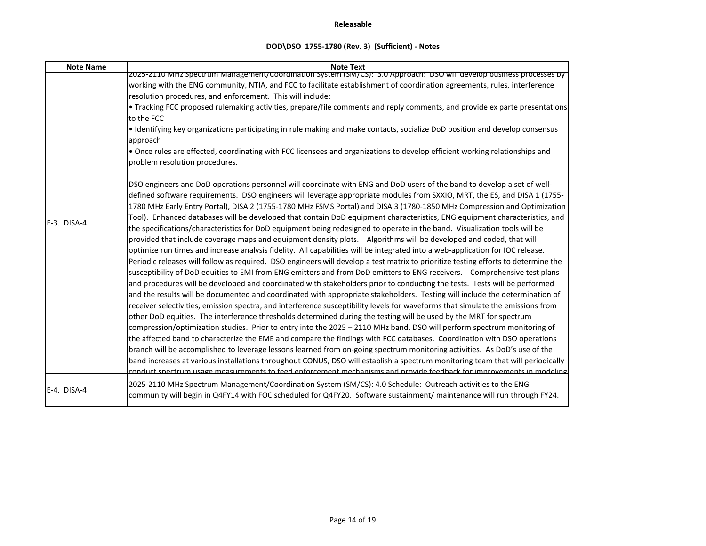| <b>Note Name</b> | <b>Note Text</b>                                                                                                                                                                                                                                                                                                                                                                                                                                                                                                                                                                                                                                                                                                                                                                                                                                                                                                                                                                                                                                                                                                                                                                                                                                                                                                                                                                                                                                                                                                                                                                                                                                                                                                                                                                                                                                                                                                                                                                                                                                                                                                                                                                                                                                                                                                                        |
|------------------|-----------------------------------------------------------------------------------------------------------------------------------------------------------------------------------------------------------------------------------------------------------------------------------------------------------------------------------------------------------------------------------------------------------------------------------------------------------------------------------------------------------------------------------------------------------------------------------------------------------------------------------------------------------------------------------------------------------------------------------------------------------------------------------------------------------------------------------------------------------------------------------------------------------------------------------------------------------------------------------------------------------------------------------------------------------------------------------------------------------------------------------------------------------------------------------------------------------------------------------------------------------------------------------------------------------------------------------------------------------------------------------------------------------------------------------------------------------------------------------------------------------------------------------------------------------------------------------------------------------------------------------------------------------------------------------------------------------------------------------------------------------------------------------------------------------------------------------------------------------------------------------------------------------------------------------------------------------------------------------------------------------------------------------------------------------------------------------------------------------------------------------------------------------------------------------------------------------------------------------------------------------------------------------------------------------------------------------------|
|                  | 2025-2110 MHz Spectrum Management/Coordination System (SM/CS): 3.0 Approach: DSO will develop business processes by                                                                                                                                                                                                                                                                                                                                                                                                                                                                                                                                                                                                                                                                                                                                                                                                                                                                                                                                                                                                                                                                                                                                                                                                                                                                                                                                                                                                                                                                                                                                                                                                                                                                                                                                                                                                                                                                                                                                                                                                                                                                                                                                                                                                                     |
|                  | working with the ENG community, NTIA, and FCC to facilitate establishment of coordination agreements, rules, interference                                                                                                                                                                                                                                                                                                                                                                                                                                                                                                                                                                                                                                                                                                                                                                                                                                                                                                                                                                                                                                                                                                                                                                                                                                                                                                                                                                                                                                                                                                                                                                                                                                                                                                                                                                                                                                                                                                                                                                                                                                                                                                                                                                                                               |
|                  | resolution procedures, and enforcement. This will include:                                                                                                                                                                                                                                                                                                                                                                                                                                                                                                                                                                                                                                                                                                                                                                                                                                                                                                                                                                                                                                                                                                                                                                                                                                                                                                                                                                                                                                                                                                                                                                                                                                                                                                                                                                                                                                                                                                                                                                                                                                                                                                                                                                                                                                                                              |
|                  | . Tracking FCC proposed rulemaking activities, prepare/file comments and reply comments, and provide ex parte presentations                                                                                                                                                                                                                                                                                                                                                                                                                                                                                                                                                                                                                                                                                                                                                                                                                                                                                                                                                                                                                                                                                                                                                                                                                                                                                                                                                                                                                                                                                                                                                                                                                                                                                                                                                                                                                                                                                                                                                                                                                                                                                                                                                                                                             |
|                  | to the FCC                                                                                                                                                                                                                                                                                                                                                                                                                                                                                                                                                                                                                                                                                                                                                                                                                                                                                                                                                                                                                                                                                                                                                                                                                                                                                                                                                                                                                                                                                                                                                                                                                                                                                                                                                                                                                                                                                                                                                                                                                                                                                                                                                                                                                                                                                                                              |
|                  | · Identifying key organizations participating in rule making and make contacts, socialize DoD position and develop consensus                                                                                                                                                                                                                                                                                                                                                                                                                                                                                                                                                                                                                                                                                                                                                                                                                                                                                                                                                                                                                                                                                                                                                                                                                                                                                                                                                                                                                                                                                                                                                                                                                                                                                                                                                                                                                                                                                                                                                                                                                                                                                                                                                                                                            |
|                  | approach                                                                                                                                                                                                                                                                                                                                                                                                                                                                                                                                                                                                                                                                                                                                                                                                                                                                                                                                                                                                                                                                                                                                                                                                                                                                                                                                                                                                                                                                                                                                                                                                                                                                                                                                                                                                                                                                                                                                                                                                                                                                                                                                                                                                                                                                                                                                |
|                  | . Once rules are effected, coordinating with FCC licensees and organizations to develop efficient working relationships and                                                                                                                                                                                                                                                                                                                                                                                                                                                                                                                                                                                                                                                                                                                                                                                                                                                                                                                                                                                                                                                                                                                                                                                                                                                                                                                                                                                                                                                                                                                                                                                                                                                                                                                                                                                                                                                                                                                                                                                                                                                                                                                                                                                                             |
|                  | problem resolution procedures.                                                                                                                                                                                                                                                                                                                                                                                                                                                                                                                                                                                                                                                                                                                                                                                                                                                                                                                                                                                                                                                                                                                                                                                                                                                                                                                                                                                                                                                                                                                                                                                                                                                                                                                                                                                                                                                                                                                                                                                                                                                                                                                                                                                                                                                                                                          |
| E-3. DISA-4      | DSO engineers and DoD operations personnel will coordinate with ENG and DoD users of the band to develop a set of well-<br>defined software requirements. DSO engineers will leverage appropriate modules from SXXIO, MRT, the ES, and DISA 1 (1755-<br>1780 MHz Early Entry Portal), DISA 2 (1755-1780 MHz FSMS Portal) and DISA 3 (1780-1850 MHz Compression and Optimization<br>Tool). Enhanced databases will be developed that contain DoD equipment characteristics, ENG equipment characteristics, and<br>the specifications/characteristics for DoD equipment being redesigned to operate in the band. Visualization tools will be<br>provided that include coverage maps and equipment density plots.  Algorithms will be developed and coded, that will<br>optimize run times and increase analysis fidelity. All capabilities will be integrated into a web-application for IOC release.<br>Periodic releases will follow as required. DSO engineers will develop a test matrix to prioritize testing efforts to determine the<br>susceptibility of DoD equities to EMI from ENG emitters and from DoD emitters to ENG receivers. Comprehensive test plans<br>and procedures will be developed and coordinated with stakeholders prior to conducting the tests. Tests will be performed<br>and the results will be documented and coordinated with appropriate stakeholders. Testing will include the determination of<br>receiver selectivities, emission spectra, and interference susceptibility levels for waveforms that simulate the emissions from<br>other DoD equities. The interference thresholds determined during the testing will be used by the MRT for spectrum<br>compression/optimization studies. Prior to entry into the 2025 - 2110 MHz band, DSO will perform spectrum monitoring of<br>the affected band to characterize the EME and compare the findings with FCC databases. Coordination with DSO operations<br>branch will be accomplished to leverage lessons learned from on-going spectrum monitoring activities. As DoD's use of the<br>band increases at various installations throughout CONUS, DSO will establish a spectrum monitoring team that will periodically<br>conduct spectrum usage measurements to feed enforcement mechanisms and provide feedback for improvements in modeling |
| E-4. DISA-4      | 2025-2110 MHz Spectrum Management/Coordination System (SM/CS): 4.0 Schedule: Outreach activities to the ENG<br>community will begin in Q4FY14 with FOC scheduled for Q4FY20. Software sustainment/ maintenance will run through FY24.                                                                                                                                                                                                                                                                                                                                                                                                                                                                                                                                                                                                                                                                                                                                                                                                                                                                                                                                                                                                                                                                                                                                                                                                                                                                                                                                                                                                                                                                                                                                                                                                                                                                                                                                                                                                                                                                                                                                                                                                                                                                                                   |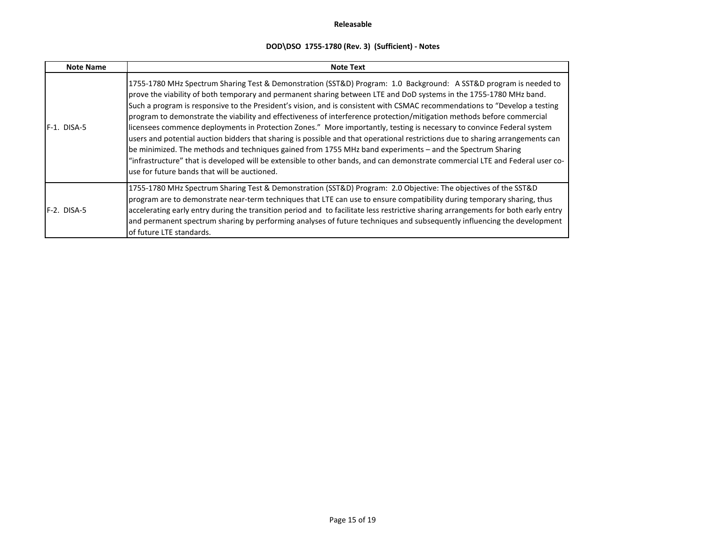| <b>Note Name</b> | <b>Note Text</b>                                                                                                                                                                                                                                                                                                                                                                                                                                                                                                                                                                                                                                                                                                                                                                                                                                                                                                                                                                                                                                          |  |  |  |  |
|------------------|-----------------------------------------------------------------------------------------------------------------------------------------------------------------------------------------------------------------------------------------------------------------------------------------------------------------------------------------------------------------------------------------------------------------------------------------------------------------------------------------------------------------------------------------------------------------------------------------------------------------------------------------------------------------------------------------------------------------------------------------------------------------------------------------------------------------------------------------------------------------------------------------------------------------------------------------------------------------------------------------------------------------------------------------------------------|--|--|--|--|
| F-1. DISA-5      | 1755-1780 MHz Spectrum Sharing Test & Demonstration (SST&D) Program: 1.0 Background: A SST&D program is needed to<br>prove the viability of both temporary and permanent sharing between LTE and DoD systems in the 1755-1780 MHz band.<br>Such a program is responsive to the President's vision, and is consistent with CSMAC recommendations to "Develop a testing<br>program to demonstrate the viability and effectiveness of interference protection/mitigation methods before commercial<br>licensees commence deployments in Protection Zones." More importantly, testing is necessary to convince Federal system<br>users and potential auction bidders that sharing is possible and that operational restrictions due to sharing arrangements can<br>be minimized. The methods and techniques gained from 1755 MHz band experiments - and the Spectrum Sharing<br>"infrastructure" that is developed will be extensible to other bands, and can demonstrate commercial LTE and Federal user co-<br>use for future bands that will be auctioned. |  |  |  |  |
| F-2. DISA-5      | 1755-1780 MHz Spectrum Sharing Test & Demonstration (SST&D) Program: 2.0 Objective: The objectives of the SST&D<br>program are to demonstrate near-term techniques that LTE can use to ensure compatibility during temporary sharing, thus<br>accelerating early entry during the transition period and to facilitate less restrictive sharing arrangements for both early entry<br>and permanent spectrum sharing by performing analyses of future techniques and subsequently influencing the development<br>of future LTE standards.                                                                                                                                                                                                                                                                                                                                                                                                                                                                                                                   |  |  |  |  |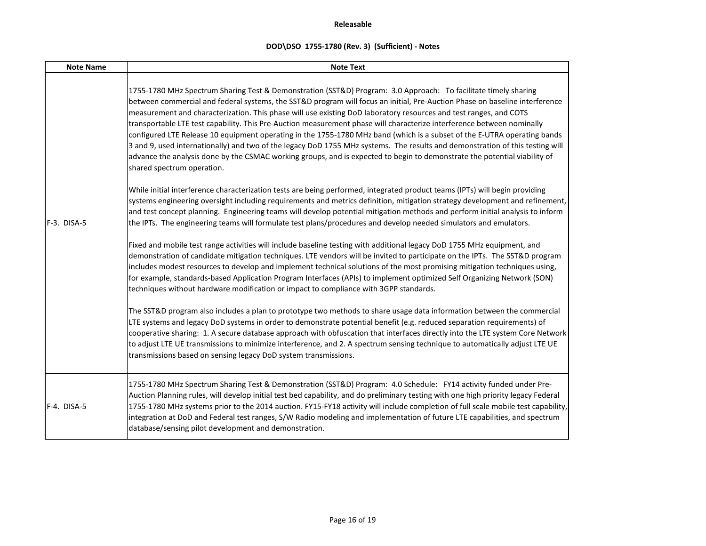| <b>Note Name</b> | <b>Note Text</b>                                                                                                                                                                                                                                                                                                                                                                                                                                                                                                                                                                                                                                                                                                                                                                                                                                                                                                      |
|------------------|-----------------------------------------------------------------------------------------------------------------------------------------------------------------------------------------------------------------------------------------------------------------------------------------------------------------------------------------------------------------------------------------------------------------------------------------------------------------------------------------------------------------------------------------------------------------------------------------------------------------------------------------------------------------------------------------------------------------------------------------------------------------------------------------------------------------------------------------------------------------------------------------------------------------------|
|                  | 1755-1780 MHz Spectrum Sharing Test & Demonstration (SST&D) Program: 3.0 Approach: To facilitate timely sharing<br>between commercial and federal systems, the SST&D program will focus an initial, Pre-Auction Phase on baseline interference<br>measurement and characterization. This phase will use existing DoD laboratory resources and test ranges, and COTS<br>transportable LTE test capability. This Pre-Auction measurement phase will characterize interference between nominally<br>configured LTE Release 10 equipment operating in the 1755-1780 MHz band (which is a subset of the E-UTRA operating bands<br>3 and 9, used internationally) and two of the legacy DoD 1755 MHz systems. The results and demonstration of this testing will<br>advance the analysis done by the CSMAC working groups, and is expected to begin to demonstrate the potential viability of<br>shared spectrum operation. |
| F-3. DISA-5      | While initial interference characterization tests are being performed, integrated product teams (IPTs) will begin providing<br>systems engineering oversight including requirements and metrics definition, mitigation strategy development and refinement,<br>and test concept planning. Engineering teams will develop potential mitigation methods and perform initial analysis to inform<br>the IPTs. The engineering teams will formulate test plans/procedures and develop needed simulators and emulators.                                                                                                                                                                                                                                                                                                                                                                                                     |
|                  | Fixed and mobile test range activities will include baseline testing with additional legacy DoD 1755 MHz equipment, and<br>demonstration of candidate mitigation techniques. LTE vendors will be invited to participate on the IPTs. The SST&D program<br>includes modest resources to develop and implement technical solutions of the most promising mitigation techniques using,<br>for example, standards-based Application Program Interfaces (APIs) to implement optimized Self Organizing Network (SON)<br>techniques without hardware modification or impact to compliance with 3GPP standards.                                                                                                                                                                                                                                                                                                               |
|                  | The SST&D program also includes a plan to prototype two methods to share usage data information between the commercial<br>LTE systems and legacy DoD systems in order to demonstrate potential benefit (e.g. reduced separation requirements) of<br>cooperative sharing: 1. A secure database approach with obfuscation that interfaces directly into the LTE system Core Network<br>to adjust LTE UE transmissions to minimize interference, and 2. A spectrum sensing technique to automatically adjust LTE UE<br>transmissions based on sensing legacy DoD system transmissions.                                                                                                                                                                                                                                                                                                                                   |
| F-4. DISA-5      | 1755-1780 MHz Spectrum Sharing Test & Demonstration (SST&D) Program: 4.0 Schedule: FY14 activity funded under Pre-<br>Auction Planning rules, will develop initial test bed capability, and do preliminary testing with one high priority legacy Federal<br>1755-1780 MHz systems prior to the 2014 auction. FY15-FY18 activity will include completion of full scale mobile test capability,<br>integration at DoD and Federal test ranges, S/W Radio modeling and implementation of future LTE capabilities, and spectrum<br>database/sensing pilot development and demonstration.                                                                                                                                                                                                                                                                                                                                  |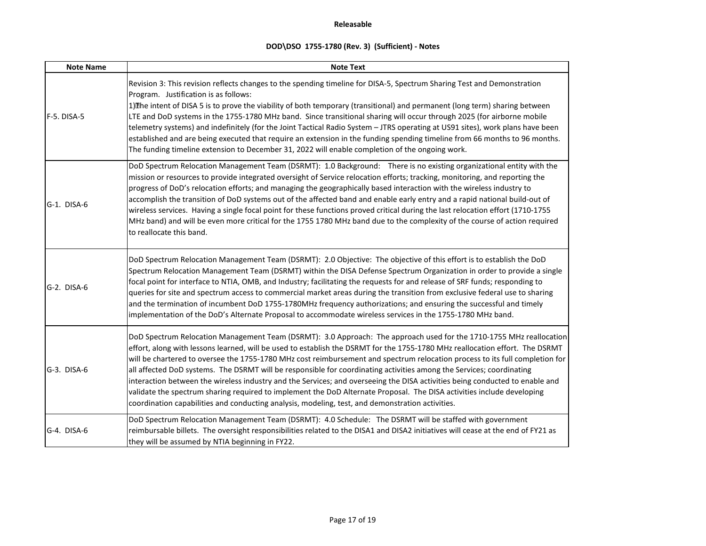| <b>Note Name</b> | <b>Note Text</b>                                                                                                                                                                                                                                                                                                                                                                                                                                                                                                                                                                                                                                                                                                                                                                                                                                                          |  |  |  |  |  |
|------------------|---------------------------------------------------------------------------------------------------------------------------------------------------------------------------------------------------------------------------------------------------------------------------------------------------------------------------------------------------------------------------------------------------------------------------------------------------------------------------------------------------------------------------------------------------------------------------------------------------------------------------------------------------------------------------------------------------------------------------------------------------------------------------------------------------------------------------------------------------------------------------|--|--|--|--|--|
| F-5. DISA-5      | Revision 3: This revision reflects changes to the spending timeline for DISA-5, Spectrum Sharing Test and Demonstration<br>Program. Justification is as follows:<br>1) The intent of DISA 5 is to prove the viability of both temporary (transitional) and permanent (long term) sharing between<br>LTE and DoD systems in the 1755-1780 MHz band. Since transitional sharing will occur through 2025 (for airborne mobile<br>telemetry systems) and indefinitely (for the Joint Tactical Radio System - JTRS operating at US91 sites), work plans have been<br>established and are being executed that require an extension in the funding spending timeline from 66 months to 96 months.<br>The funding timeline extension to December 31, 2022 will enable completion of the ongoing work.                                                                             |  |  |  |  |  |
| G-1. DISA-6      | DoD Spectrum Relocation Management Team (DSRMT): 1.0 Background: There is no existing organizational entity with the<br>mission or resources to provide integrated oversight of Service relocation efforts; tracking, monitoring, and reporting the<br>progress of DoD's relocation efforts; and managing the geographically based interaction with the wireless industry to<br>accomplish the transition of DoD systems out of the affected band and enable early entry and a rapid national build-out of<br>wireless services. Having a single focal point for these functions proved critical during the last relocation effort (1710-1755<br>MHz band) and will be even more critical for the 1755 1780 MHz band due to the complexity of the course of action required<br>to reallocate this band.                                                                   |  |  |  |  |  |
| G-2. DISA-6      | DoD Spectrum Relocation Management Team (DSRMT): 2.0 Objective: The objective of this effort is to establish the DoD<br>Spectrum Relocation Management Team (DSRMT) within the DISA Defense Spectrum Organization in order to provide a single<br>focal point for interface to NTIA, OMB, and Industry; facilitating the requests for and release of SRF funds; responding to<br>queries for site and spectrum access to commercial market areas during the transition from exclusive federal use to sharing<br>and the termination of incumbent DoD 1755-1780MHz frequency authorizations; and ensuring the successful and timely<br>implementation of the DoD's Alternate Proposal to accommodate wireless services in the 1755-1780 MHz band.                                                                                                                          |  |  |  |  |  |
| G-3. DISA-6      | DoD Spectrum Relocation Management Team (DSRMT): 3.0 Approach: The approach used for the 1710-1755 MHz reallocation<br>effort, along with lessons learned, will be used to establish the DSRMT for the 1755-1780 MHz reallocation effort. The DSRMT<br>will be chartered to oversee the 1755-1780 MHz cost reimbursement and spectrum relocation process to its full completion for<br>all affected DoD systems. The DSRMT will be responsible for coordinating activities among the Services; coordinating<br>interaction between the wireless industry and the Services; and overseeing the DISA activities being conducted to enable and<br>validate the spectrum sharing required to implement the DoD Alternate Proposal. The DISA activities include developing<br>coordination capabilities and conducting analysis, modeling, test, and demonstration activities. |  |  |  |  |  |
| G-4. DISA-6      | DoD Spectrum Relocation Management Team (DSRMT): 4.0 Schedule: The DSRMT will be staffed with government<br>reimbursable billets. The oversight responsibilities related to the DISA1 and DISA2 initiatives will cease at the end of FY21 as<br>they will be assumed by NTIA beginning in FY22.                                                                                                                                                                                                                                                                                                                                                                                                                                                                                                                                                                           |  |  |  |  |  |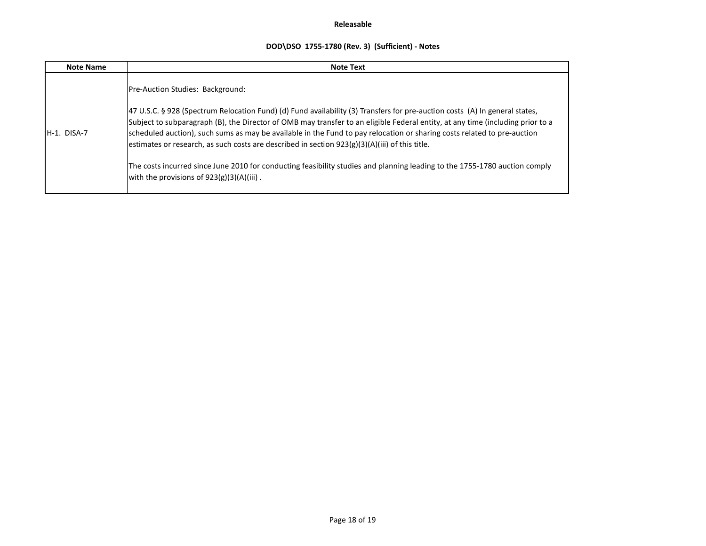| <b>Note Name</b> | <b>Note Text</b>                                                                                                                                                                                                                                                                                                                                                                                                                                                                             |  |  |
|------------------|----------------------------------------------------------------------------------------------------------------------------------------------------------------------------------------------------------------------------------------------------------------------------------------------------------------------------------------------------------------------------------------------------------------------------------------------------------------------------------------------|--|--|
|                  | Pre-Auction Studies: Background:                                                                                                                                                                                                                                                                                                                                                                                                                                                             |  |  |
| $H-1.$ DISA-7    | 47 U.S.C. § 928 (Spectrum Relocation Fund) (d) Fund availability (3) Transfers for pre-auction costs (A) In general states,<br>Subject to subparagraph (B), the Director of OMB may transfer to an eligible Federal entity, at any time (including prior to a<br>scheduled auction), such sums as may be available in the Fund to pay relocation or sharing costs related to pre-auction<br>estimates or research, as such costs are described in section $923(g)(3)(A)(iii)$ of this title. |  |  |
|                  | The costs incurred since June 2010 for conducting feasibility studies and planning leading to the 1755-1780 auction comply<br>with the provisions of $923(g)(3)(A)(iii)$ .                                                                                                                                                                                                                                                                                                                   |  |  |